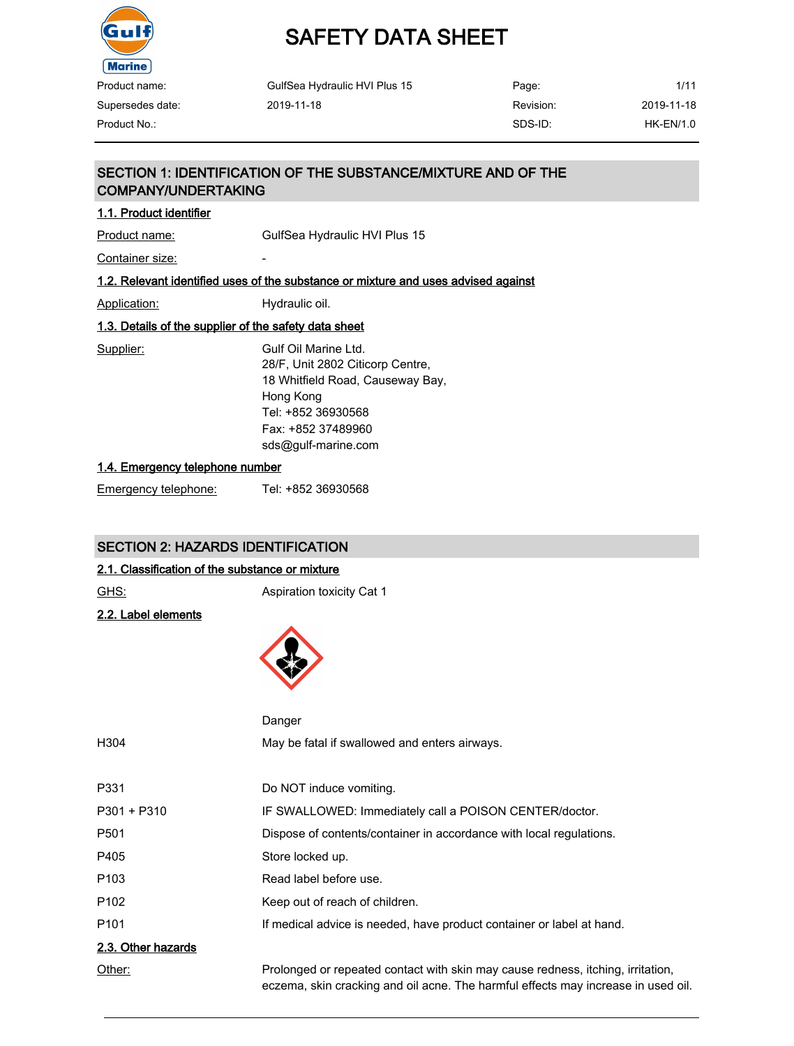

# SAFETY DATA SHEET

| Product name:    | GulfSea Hydraulic HVI Plus 15 | Page:     | 1/11             |
|------------------|-------------------------------|-----------|------------------|
| Supersedes date: | 2019-11-18                    | Revision: | 2019-11-18       |
| Product No.:     |                               | SDS-ID:   | <b>HK-EN/1.0</b> |

# SECTION 1: IDENTIFICATION OF THE SUBSTANCE/MIXTURE AND OF THE COMPANY/UNDERTAKING

#### 1.1. Product identifier

Product name: GulfSea Hydraulic HVI Plus 15

Container size: The container size:

## 1.2. Relevant identified uses of the substance or mixture and uses advised against

Application: Hydraulic oil.

# 1.3. Details of the supplier of the safety data sheet

Supplier: Gulf Oil Marine Ltd. 28/F, Unit 2802 Citicorp Centre, 18 Whitfield Road, Causeway Bay, Hong Kong Tel: +852 36930568 Fax: +852 37489960 sds@gulf-marine.com

#### 1.4. Emergency telephone number

| Emergency telephone: | Tel: +852 36930568 |
|----------------------|--------------------|
|                      |                    |

# SECTION 2: HAZARDS IDENTIFICATION

# 2.1. Classification of the substance or mixture

| <u>GHS:</u>         | Aspiration toxicity Cat 1                                                                                                                                            |
|---------------------|----------------------------------------------------------------------------------------------------------------------------------------------------------------------|
| 2.2. Label elements |                                                                                                                                                                      |
|                     |                                                                                                                                                                      |
|                     |                                                                                                                                                                      |
|                     |                                                                                                                                                                      |
|                     | Danger                                                                                                                                                               |
| H304                | May be fatal if swallowed and enters airways.                                                                                                                        |
|                     |                                                                                                                                                                      |
| P331                | Do NOT induce vomiting.                                                                                                                                              |
| P301 + P310         | IF SWALLOWED: Immediately call a POISON CENTER/doctor.                                                                                                               |
| P501                | Dispose of contents/container in accordance with local regulations.                                                                                                  |
| P405                | Store locked up.                                                                                                                                                     |
| P <sub>103</sub>    | Read label before use.                                                                                                                                               |
| P102                | Keep out of reach of children.                                                                                                                                       |
| P101                | If medical advice is needed, have product container or label at hand.                                                                                                |
| 2.3. Other hazards  |                                                                                                                                                                      |
| Other:              | Prolonged or repeated contact with skin may cause redness, itching, irritation,<br>eczema, skin cracking and oil acne. The harmful effects may increase in used oil. |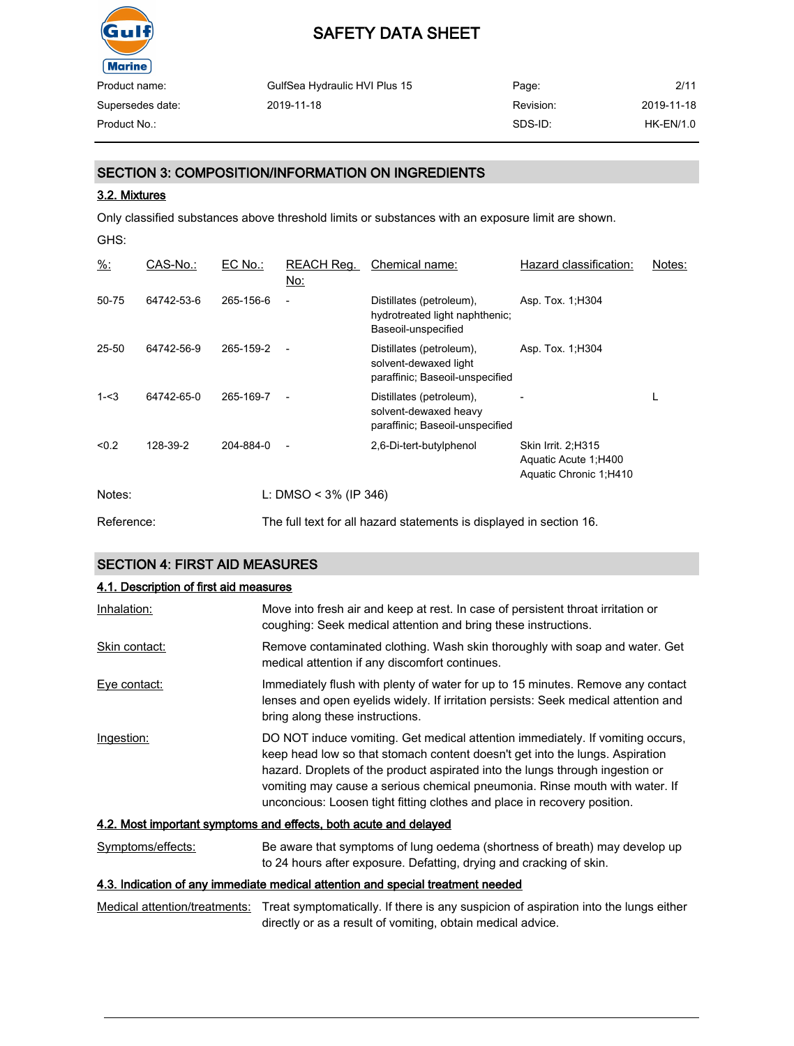

| Product name:    | GulfSea Hydraulic HVI Plus 15 | Page:     | 2/11        |
|------------------|-------------------------------|-----------|-------------|
| Supersedes date: | 2019-11-18                    | Revision: | 2019-11-18  |
| Product No.:     |                               | SDS-ID:   | $HK-EN/1.0$ |

# SECTION 3: COMPOSITION/INFORMATION ON INGREDIENTS

#### 3.2. Mixtures

Only classified substances above threshold limits or substances with an exposure limit are shown.

| ۰,<br>× | I<br>M.<br>۰. |
|---------|---------------|
|---------|---------------|

| $\frac{9}{6}$ : | CAS-No.:   | EC No.:   | REACH Reg.<br><u>No:</u> | Chemical name:                                                                       | Hazard classification:                                                | Notes: |
|-----------------|------------|-----------|--------------------------|--------------------------------------------------------------------------------------|-----------------------------------------------------------------------|--------|
| 50-75           | 64742-53-6 | 265-156-6 | $\overline{a}$           | Distillates (petroleum),<br>hydrotreated light naphthenic;<br>Baseoil-unspecified    | Asp. Tox. 1, H304                                                     |        |
| 25-50           | 64742-56-9 | 265-159-2 | $\overline{a}$           | Distillates (petroleum),<br>solvent-dewaxed light<br>paraffinic; Baseoil-unspecified | Asp. Tox. 1, H304                                                     |        |
| $1 - 3$         | 64742-65-0 | 265-169-7 |                          | Distillates (petroleum),<br>solvent-dewaxed heavy<br>paraffinic; Baseoil-unspecified |                                                                       | L      |
| < 0.2           | 128-39-2   | 204-884-0 | $\overline{a}$           | 2,6-Di-tert-butylphenol                                                              | Skin Irrit. 2;H315<br>Aquatic Acute 1; H400<br>Aquatic Chronic 1;H410 |        |
| Notes:          |            |           | L: DMSO < $3\%$ (IP 346) |                                                                                      |                                                                       |        |
| Reference:      |            |           |                          | The full text for all hazard statements is displayed in section 16.                  |                                                                       |        |

## SECTION 4: FIRST AID MEASURES

#### 4.1. Description of first aid measures

| Inhalation:       | Move into fresh air and keep at rest. In case of persistent throat irritation or<br>coughing: Seek medical attention and bring these instructions.                                                                                                                                                                                                                                                         |
|-------------------|------------------------------------------------------------------------------------------------------------------------------------------------------------------------------------------------------------------------------------------------------------------------------------------------------------------------------------------------------------------------------------------------------------|
| Skin contact:     | Remove contaminated clothing. Wash skin thoroughly with soap and water. Get<br>medical attention if any discomfort continues.                                                                                                                                                                                                                                                                              |
| Eve contact:      | Immediately flush with plenty of water for up to 15 minutes. Remove any contact<br>lenses and open eyelids widely. If irritation persists: Seek medical attention and<br>bring along these instructions.                                                                                                                                                                                                   |
| Ingestion:        | DO NOT induce vomiting. Get medical attention immediately. If vomiting occurs,<br>keep head low so that stomach content doesn't get into the lungs. Aspiration<br>hazard. Droplets of the product aspirated into the lungs through ingestion or<br>vomiting may cause a serious chemical pneumonia. Rinse mouth with water. If<br>unconcious: Loosen tight fitting clothes and place in recovery position. |
|                   | 4.2. Most important symptoms and effects, both acute and delayed                                                                                                                                                                                                                                                                                                                                           |
| Symptoms/effects: | Be aware that symptoms of lung oedema (shortness of breath) may develop up<br>to 24 hours after exposure. Defatting, drying and cracking of skin.                                                                                                                                                                                                                                                          |

### 4.3. Indication of any immediate medical attention and special treatment needed

Medical attention/treatments: Treat symptomatically. If there is any suspicion of aspiration into the lungs either directly or as a result of vomiting, obtain medical advice.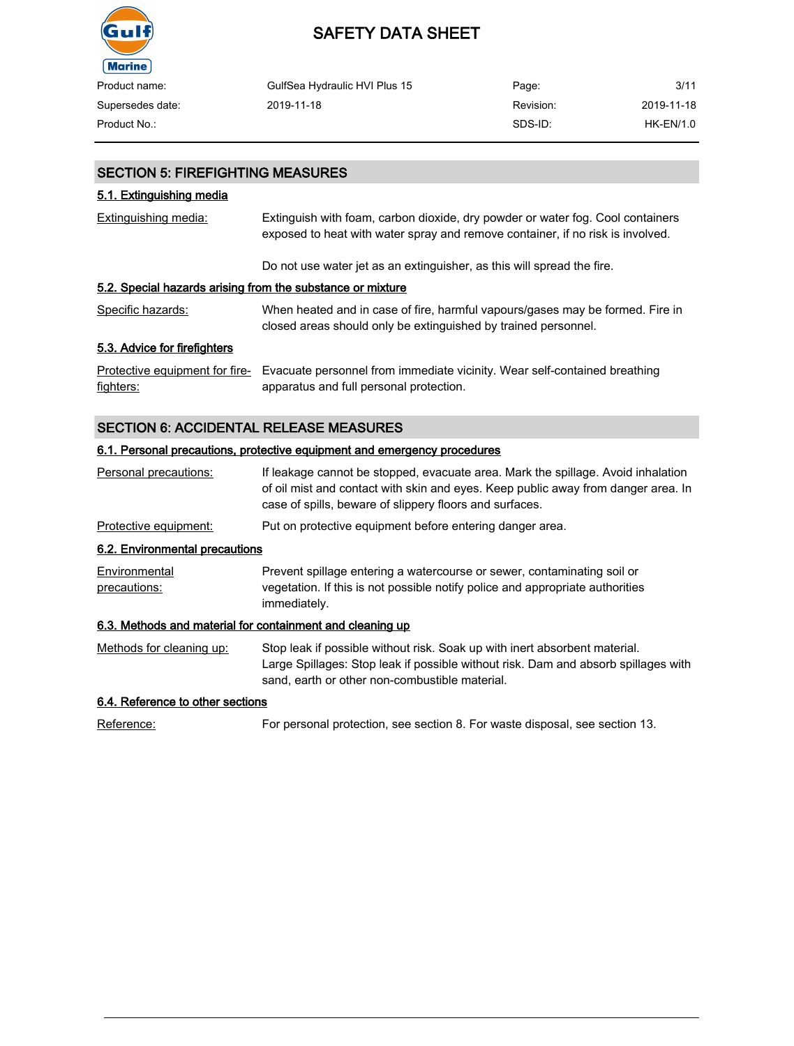

| Product name:    | GulfSea Hydraulic HVI Plus 15 | Page:     | 3/11       |
|------------------|-------------------------------|-----------|------------|
| Supersedes date: | 2019-11-18                    | Revision: | 2019-11-18 |
| Product No.:     |                               | SDS-ID:   | HK-EN/1.0  |

# SECTION 5: FIREFIGHTING MEASURES

# 5.1. Extinguishing media

| Extinguishing media:                                       | Extinguish with foam, carbon dioxide, dry powder or water fog. Cool containers<br>exposed to heat with water spray and remove container, if no risk is involved. |  |
|------------------------------------------------------------|------------------------------------------------------------------------------------------------------------------------------------------------------------------|--|
|                                                            | Do not use water jet as an extinguisher, as this will spread the fire.                                                                                           |  |
| 5.2. Special hazards arising from the substance or mixture |                                                                                                                                                                  |  |
| Specific hazards:                                          | When heated and in case of fire, harmful vapours/gases may be formed. Fire in<br>closed areas should only be extinguished by trained personnel.                  |  |
| 5.3. Advice for firefighters                               |                                                                                                                                                                  |  |
| Protective equipment for fire-<br>fighters:                | Evacuate personnel from immediate vicinity. Wear self-contained breathing<br>apparatus and full personal protection.                                             |  |

# SECTION 6: ACCIDENTAL RELEASE MEASURES

#### 6.1. Personal precautions, protective equipment and emergency procedures

| Personal precautions:                                     | If leakage cannot be stopped, evacuate area. Mark the spillage. Avoid inhalation<br>of oil mist and contact with skin and eyes. Keep public away from danger area. In<br>case of spills, beware of slippery floors and surfaces. |
|-----------------------------------------------------------|----------------------------------------------------------------------------------------------------------------------------------------------------------------------------------------------------------------------------------|
| Protective equipment:                                     | Put on protective equipment before entering danger area.                                                                                                                                                                         |
| 6.2. Environmental precautions                            |                                                                                                                                                                                                                                  |
| Environmental<br>precautions:                             | Prevent spillage entering a watercourse or sewer, contaminating soil or<br>vegetation. If this is not possible notify police and appropriate authorities<br>immediately.                                                         |
| 6.3. Methods and material for containment and cleaning up |                                                                                                                                                                                                                                  |
| Methods for cleaning up:                                  | Stop leak if possible without risk. Soak up with inert absorbent material.<br>Large Spillages: Stop leak if possible without risk. Dam and absorb spillages with<br>sand, earth or other non-combustible material.               |
| C 4 Deference to other cootions                           |                                                                                                                                                                                                                                  |

#### 6.4. Reference to other sections

Reference: For personal protection, see section 8. For waste disposal, see section 13.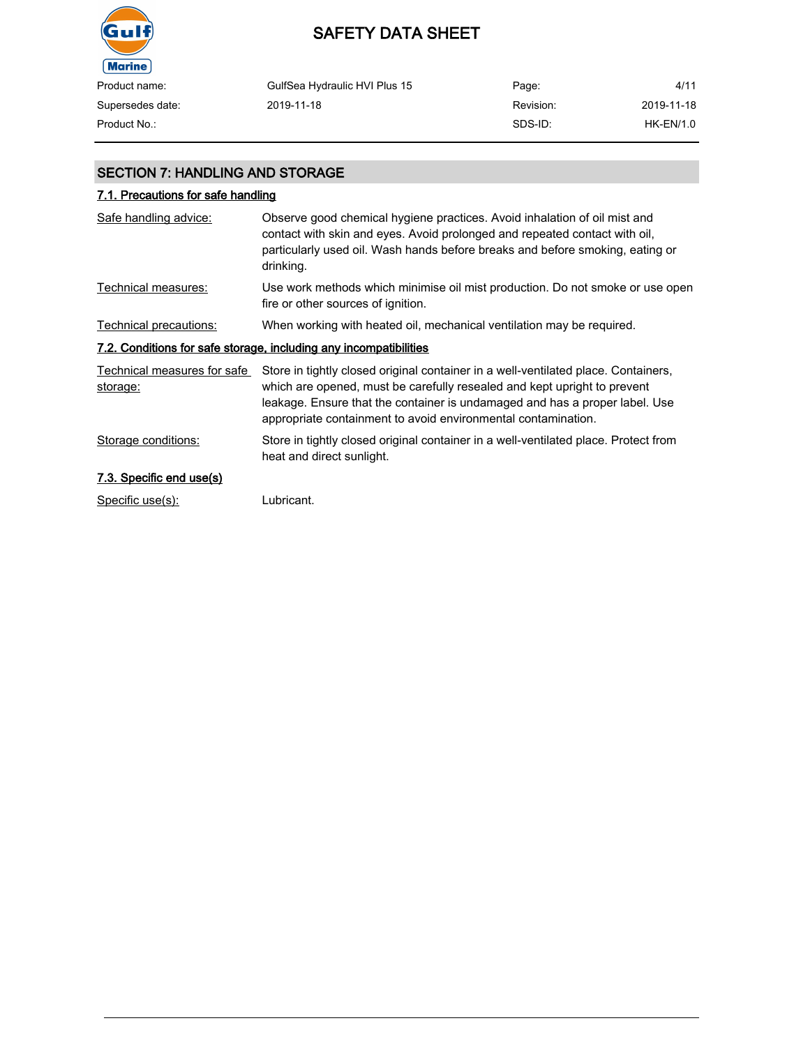

# SAFETY DATA SHEET

| Product name:    | GulfSea Hydraulic HVI Plus 15 | Page:     | 4/11        |
|------------------|-------------------------------|-----------|-------------|
| Supersedes date: | 2019-11-18                    | Revision: | 2019-11-18  |
| Product No.:     |                               | SDS-ID:   | $HK-EN/1.0$ |

# SECTION 7: HANDLING AND STORAGE

# 7.1. Precautions for safe handling

| Safe handling advice:                   | Observe good chemical hygiene practices. Avoid inhalation of oil mist and<br>contact with skin and eyes. Avoid prolonged and repeated contact with oil,<br>particularly used oil. Wash hands before breaks and before smoking, eating or<br>drinking.                                                          |
|-----------------------------------------|----------------------------------------------------------------------------------------------------------------------------------------------------------------------------------------------------------------------------------------------------------------------------------------------------------------|
| Technical measures:                     | Use work methods which minimise oil mist production. Do not smoke or use open<br>fire or other sources of ignition.                                                                                                                                                                                            |
| Technical precautions:                  | When working with heated oil, mechanical ventilation may be required.                                                                                                                                                                                                                                          |
|                                         | 7.2. Conditions for safe storage, including any incompatibilities                                                                                                                                                                                                                                              |
| Technical measures for safe<br>storage: | Store in tightly closed original container in a well-ventilated place. Containers,<br>which are opened, must be carefully resealed and kept upright to prevent<br>leakage. Ensure that the container is undamaged and has a proper label. Use<br>appropriate containment to avoid environmental contamination. |
| Storage conditions:                     | Store in tightly closed original container in a well-ventilated place. Protect from<br>heat and direct sunlight.                                                                                                                                                                                               |
| 7.3. Specific end use(s)                |                                                                                                                                                                                                                                                                                                                |
| Specific use(s):                        | Lubricant.                                                                                                                                                                                                                                                                                                     |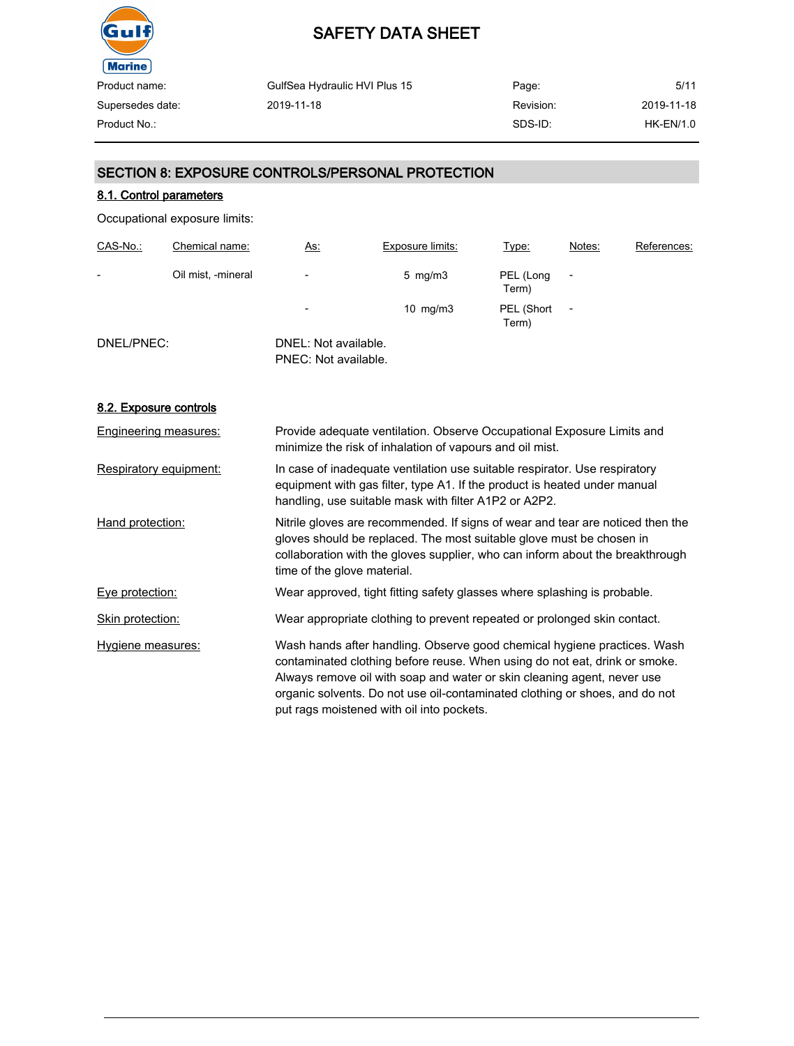

| GulfSea Hydraulic HVI Plus 15 | Page:     | 5/11             |
|-------------------------------|-----------|------------------|
| 2019-11-18                    | Revision: | 2019-11-18       |
|                               | SDS-ID:   | <b>HK-EN/1.0</b> |
|                               |           |                  |

# SECTION 8: EXPOSURE CONTROLS/PERSONAL PROTECTION

# 8.1. Control parameters

Occupational exposure limits:

| CAS-No.:   | Chemical name:     | <u>As:</u>                                   | Exposure limits:   | Type:               | Notes:                   | References: |
|------------|--------------------|----------------------------------------------|--------------------|---------------------|--------------------------|-------------|
| -          | Oil mist, -mineral | $\overline{\phantom{0}}$                     | $5 \,$ mg/m $3 \,$ | PEL (Long<br>Term)  |                          |             |
|            |                    | $\overline{\phantom{a}}$                     | $10 \text{ mg/m}$  | PEL (Short<br>Term) | $\overline{\phantom{a}}$ |             |
| DNEL/PNEC: |                    | DNEL: Not available.<br>PNEC: Not available. |                    |                     |                          |             |

#### 8.2. Exposure controls

| Engineering measures:  | Provide adequate ventilation. Observe Occupational Exposure Limits and<br>minimize the risk of inhalation of vapours and oil mist.                                                                                                                                                                                                                            |
|------------------------|---------------------------------------------------------------------------------------------------------------------------------------------------------------------------------------------------------------------------------------------------------------------------------------------------------------------------------------------------------------|
| Respiratory equipment: | In case of inadequate ventilation use suitable respirator. Use respiratory<br>equipment with gas filter, type A1. If the product is heated under manual<br>handling, use suitable mask with filter A1P2 or A2P2.                                                                                                                                              |
| Hand protection:       | Nitrile gloves are recommended. If signs of wear and tear are noticed then the<br>gloves should be replaced. The most suitable glove must be chosen in<br>collaboration with the gloves supplier, who can inform about the breakthrough<br>time of the glove material.                                                                                        |
| Eye protection:        | Wear approved, tight fitting safety glasses where splashing is probable.                                                                                                                                                                                                                                                                                      |
| Skin protection:       | Wear appropriate clothing to prevent repeated or prolonged skin contact.                                                                                                                                                                                                                                                                                      |
| Hygiene measures:      | Wash hands after handling. Observe good chemical hygiene practices. Wash<br>contaminated clothing before reuse. When using do not eat, drink or smoke.<br>Always remove oil with soap and water or skin cleaning agent, never use<br>organic solvents. Do not use oil-contaminated clothing or shoes, and do not<br>put rags moistened with oil into pockets. |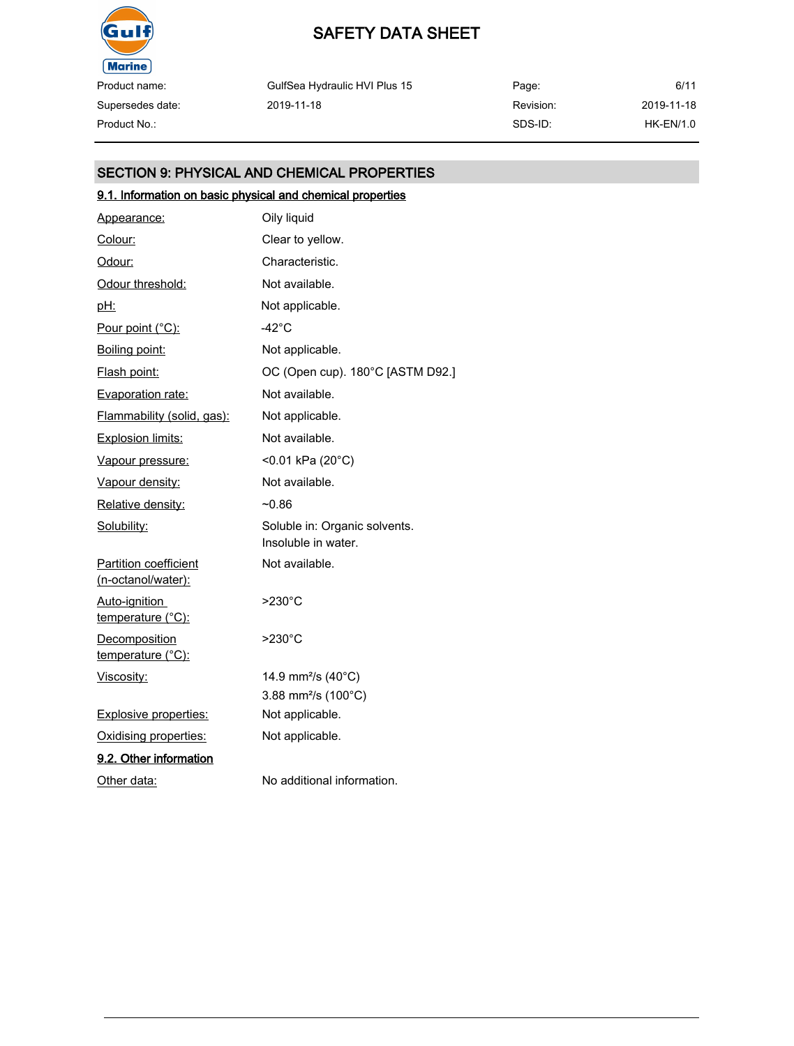

Supersedes date:

# SAFETY DATA SHEET

GulfSea Hydraulic HVI Plus 15 2019-11-18

Page: Revision: SDS-ID: 6/11 2019-11-18 Product No.: HK-EN/1.0

# SECTION 9: PHYSICAL AND CHEMICAL PROPERTIES

# 9.1. Information on basic physical and chemical properties

| Appearance:                                 | Oily liquid                                          |
|---------------------------------------------|------------------------------------------------------|
| Colour:                                     | Clear to yellow.                                     |
| Odour:                                      | Characteristic.                                      |
| Odour threshold:                            | Not available.                                       |
| <u>pH:</u>                                  | Not applicable.                                      |
| Pour point (°C):                            | $-42^{\circ}$ C                                      |
| Boiling point:                              | Not applicable.                                      |
| Flash point:                                | OC (Open cup). 180°C [ASTM D92.]                     |
| Evaporation rate:                           | Not available.                                       |
| Flammability (solid, gas):                  | Not applicable.                                      |
| <b>Explosion limits:</b>                    | Not available.                                       |
| Vapour pressure:                            | <0.01 kPa (20°C)                                     |
| Vapour density:                             | Not available.                                       |
| Relative density:                           | $-0.86$                                              |
| Solubility:                                 | Soluble in: Organic solvents.<br>Insoluble in water. |
| Partition coefficient<br>(n-octanol/water): | Not available.                                       |
| Auto-ignition<br>temperature (°C):          | $>230^{\circ}$ C                                     |
| <b>Decomposition</b><br>temperature (°C):   | $>230^{\circ}$ C                                     |
| Viscosity:                                  | 14.9 mm <sup>2</sup> /s (40°C)                       |
|                                             | 3.88 mm <sup>2</sup> /s (100°C)                      |
| <b>Explosive properties:</b>                | Not applicable.                                      |
| Oxidising properties:                       | Not applicable.                                      |
| 9.2. Other information                      |                                                      |
| Other data:                                 | No additional information.                           |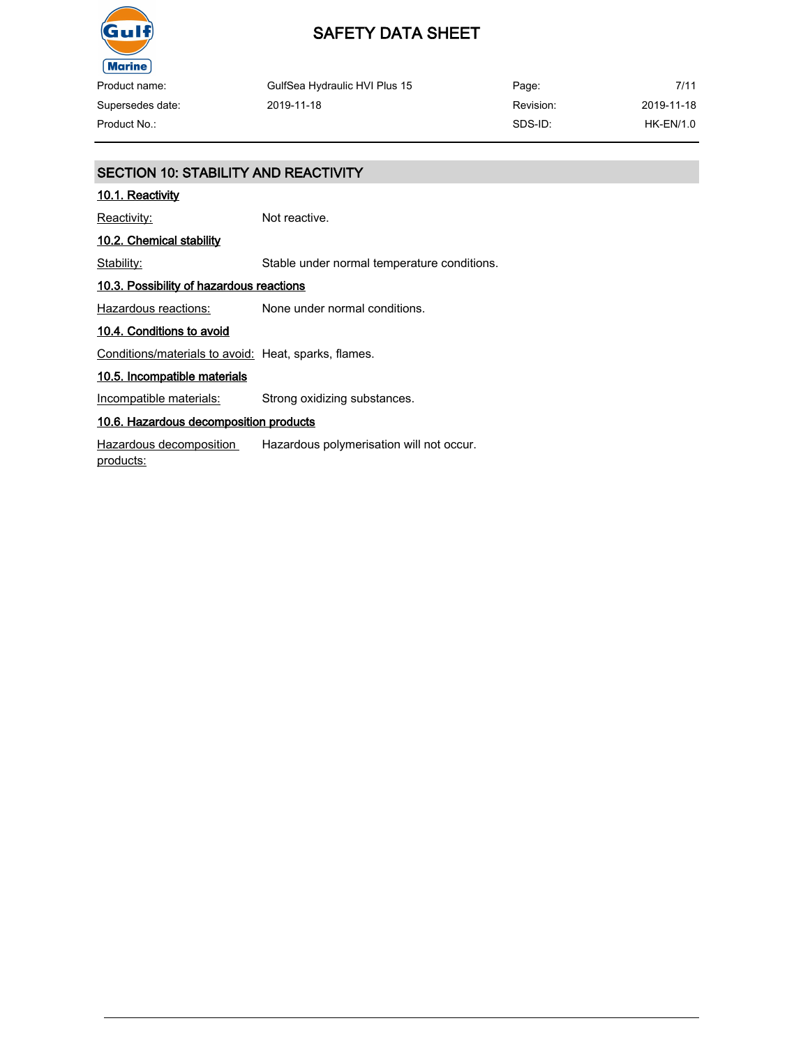

| Product name:    | GulfSea Hydraulic HVI Plus 15 | Page:     | 7/11        |
|------------------|-------------------------------|-----------|-------------|
| Supersedes date: | 2019-11-18                    | Revision: | 2019-11-18  |
| Product No.:     |                               | SDS-ID:   | $HK-EN/1.0$ |

# SECTION 10: STABILITY AND REACTIVITY

# 10.1. Reactivity

Reactivity: Not reactive.

# 10.2. Chemical stability

Stability: Stable under normal temperature conditions.

#### 10.3. Possibility of hazardous reactions

Hazardous reactions: None under normal conditions.

#### 10.4. Conditions to avoid

Conditions/materials to avoid: Heat, sparks, flames.

### 10.5. Incompatible materials

Incompatible materials: Strong oxidizing substances.

#### 10.6. Hazardous decomposition products

Hazardous decomposition products: Hazardous polymerisation will not occur.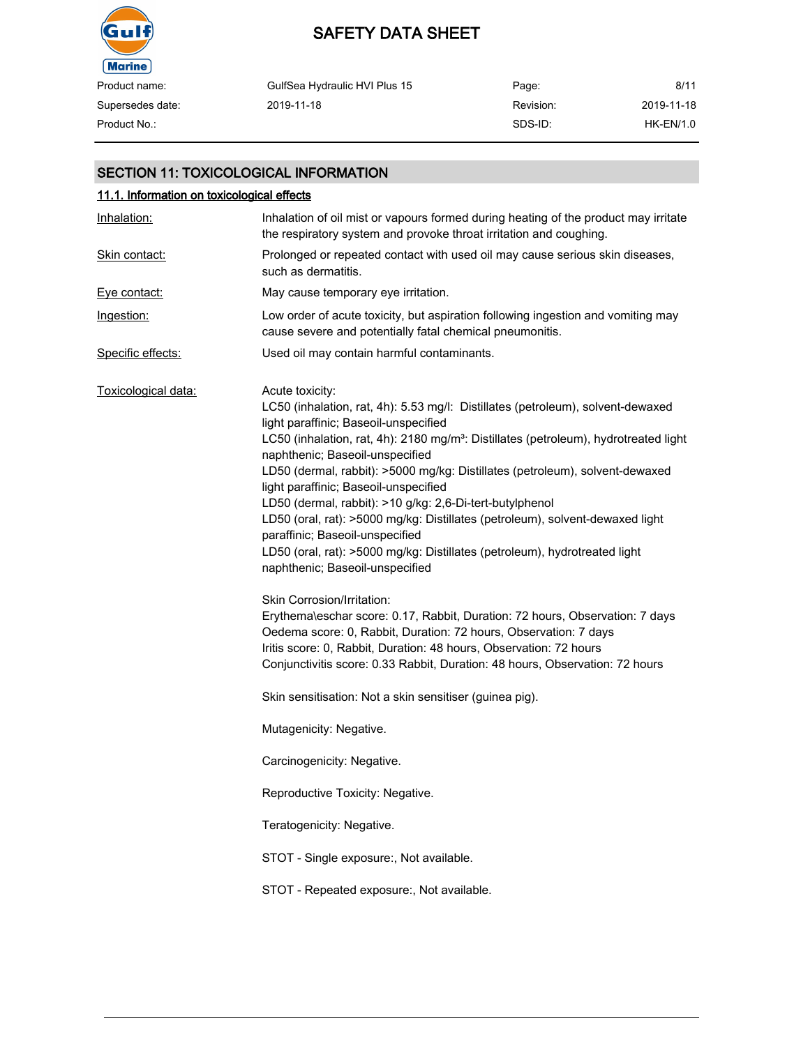

| Product name:    | GulfSea Hydraulic HVI Plus 15 | Page:     | 8/11        |
|------------------|-------------------------------|-----------|-------------|
| Supersedes date: | 2019-11-18                    | Revision: | 2019-11-18  |
| Product No.:     |                               | SDS-ID:   | $HK-EN/1.0$ |

# SECTION 11: TOXICOLOGICAL INFORMATION

| 11.1. Information on toxicological effects |                                                                                                                                                                                                                                                                                                                                                                                                                                                                                                                                                                                                                                                                                                                                                                                                                            |
|--------------------------------------------|----------------------------------------------------------------------------------------------------------------------------------------------------------------------------------------------------------------------------------------------------------------------------------------------------------------------------------------------------------------------------------------------------------------------------------------------------------------------------------------------------------------------------------------------------------------------------------------------------------------------------------------------------------------------------------------------------------------------------------------------------------------------------------------------------------------------------|
| Inhalation:                                | Inhalation of oil mist or vapours formed during heating of the product may irritate<br>the respiratory system and provoke throat irritation and coughing.                                                                                                                                                                                                                                                                                                                                                                                                                                                                                                                                                                                                                                                                  |
| Skin contact:                              | Prolonged or repeated contact with used oil may cause serious skin diseases,<br>such as dermatitis.                                                                                                                                                                                                                                                                                                                                                                                                                                                                                                                                                                                                                                                                                                                        |
| Eye contact:                               | May cause temporary eye irritation.                                                                                                                                                                                                                                                                                                                                                                                                                                                                                                                                                                                                                                                                                                                                                                                        |
| Ingestion:                                 | Low order of acute toxicity, but aspiration following ingestion and vomiting may<br>cause severe and potentially fatal chemical pneumonitis.                                                                                                                                                                                                                                                                                                                                                                                                                                                                                                                                                                                                                                                                               |
| Specific effects:                          | Used oil may contain harmful contaminants.                                                                                                                                                                                                                                                                                                                                                                                                                                                                                                                                                                                                                                                                                                                                                                                 |
| Toxicological data:                        | Acute toxicity:<br>LC50 (inhalation, rat, 4h): 5.53 mg/l: Distillates (petroleum), solvent-dewaxed<br>light paraffinic; Baseoil-unspecified<br>LC50 (inhalation, rat, 4h): 2180 mg/m <sup>3</sup> : Distillates (petroleum), hydrotreated light<br>naphthenic; Baseoil-unspecified<br>LD50 (dermal, rabbit): >5000 mg/kg: Distillates (petroleum), solvent-dewaxed<br>light paraffinic; Baseoil-unspecified<br>LD50 (dermal, rabbit): >10 g/kg: 2,6-Di-tert-butylphenol<br>LD50 (oral, rat): >5000 mg/kg: Distillates (petroleum), solvent-dewaxed light<br>paraffinic; Baseoil-unspecified<br>LD50 (oral, rat): >5000 mg/kg: Distillates (petroleum), hydrotreated light<br>naphthenic; Baseoil-unspecified<br>Skin Corrosion/Irritation:<br>Erythema\eschar score: 0.17, Rabbit, Duration: 72 hours, Observation: 7 days |
|                                            | Oedema score: 0, Rabbit, Duration: 72 hours, Observation: 7 days<br>Iritis score: 0, Rabbit, Duration: 48 hours, Observation: 72 hours<br>Conjunctivitis score: 0.33 Rabbit, Duration: 48 hours, Observation: 72 hours<br>Skin sensitisation: Not a skin sensitiser (guinea pig).                                                                                                                                                                                                                                                                                                                                                                                                                                                                                                                                          |
|                                            | Mutagenicity: Negative.                                                                                                                                                                                                                                                                                                                                                                                                                                                                                                                                                                                                                                                                                                                                                                                                    |
|                                            | Carcinogenicity: Negative.                                                                                                                                                                                                                                                                                                                                                                                                                                                                                                                                                                                                                                                                                                                                                                                                 |
|                                            | Reproductive Toxicity: Negative.                                                                                                                                                                                                                                                                                                                                                                                                                                                                                                                                                                                                                                                                                                                                                                                           |
|                                            | Teratogenicity: Negative.                                                                                                                                                                                                                                                                                                                                                                                                                                                                                                                                                                                                                                                                                                                                                                                                  |
|                                            | STOT - Single exposure:, Not available.                                                                                                                                                                                                                                                                                                                                                                                                                                                                                                                                                                                                                                                                                                                                                                                    |
|                                            | STOT - Repeated exposure:, Not available.                                                                                                                                                                                                                                                                                                                                                                                                                                                                                                                                                                                                                                                                                                                                                                                  |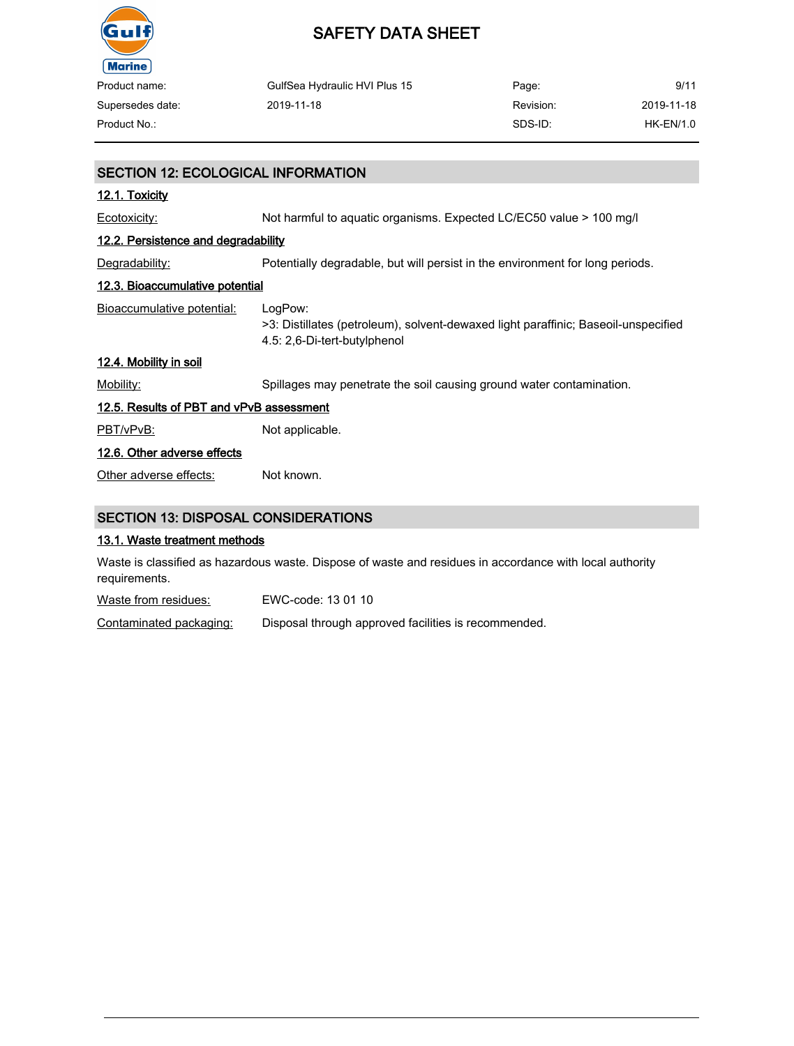

| Product name:    | GulfSea Hydraulic HVI Plus 15 | Page:     | 9/11       |
|------------------|-------------------------------|-----------|------------|
| Supersedes date: | 2019-11-18                    | Revision: | 2019-11-18 |
| Product No.:     |                               | SDS-ID:   | HK-EN/1.0  |

| <b>SECTION 12: ECOLOGICAL INFORMATION</b>  |                                                                                                                               |  |
|--------------------------------------------|-------------------------------------------------------------------------------------------------------------------------------|--|
| 12.1. Toxicity                             |                                                                                                                               |  |
| Ecotoxicity:                               | Not harmful to aquatic organisms. Expected LC/EC50 value > 100 mg/l                                                           |  |
| 12.2. Persistence and degradability        |                                                                                                                               |  |
| Degradability:                             | Potentially degradable, but will persist in the environment for long periods.                                                 |  |
| <u>12.3. Bioaccumulative potential</u>     |                                                                                                                               |  |
| <b>Bioaccumulative potential:</b>          | LogPow:<br>>3: Distillates (petroleum), solvent-dewaxed light paraffinic; Baseoil-unspecified<br>4.5: 2,6-Di-tert-butylphenol |  |
| 12.4. Mobility in soil                     |                                                                                                                               |  |
| Mobility:                                  | Spillages may penetrate the soil causing ground water contamination.                                                          |  |
| 12.5. Results of PBT and vPvB assessment   |                                                                                                                               |  |
| PBT/vPvB:                                  | Not applicable.                                                                                                               |  |
| 12.6. Other adverse effects                |                                                                                                                               |  |
| Other adverse effects:                     | Not known.                                                                                                                    |  |
| <b>SECTION 13: DISPOSAL CONSIDERATIONS</b> |                                                                                                                               |  |

#### 13.1. Waste treatment methods

Waste is classified as hazardous waste. Dispose of waste and residues in accordance with local authority requirements.

Waste from residues: EWC-code: 13 01 10

Contaminated packaging: Disposal through approved facilities is recommended.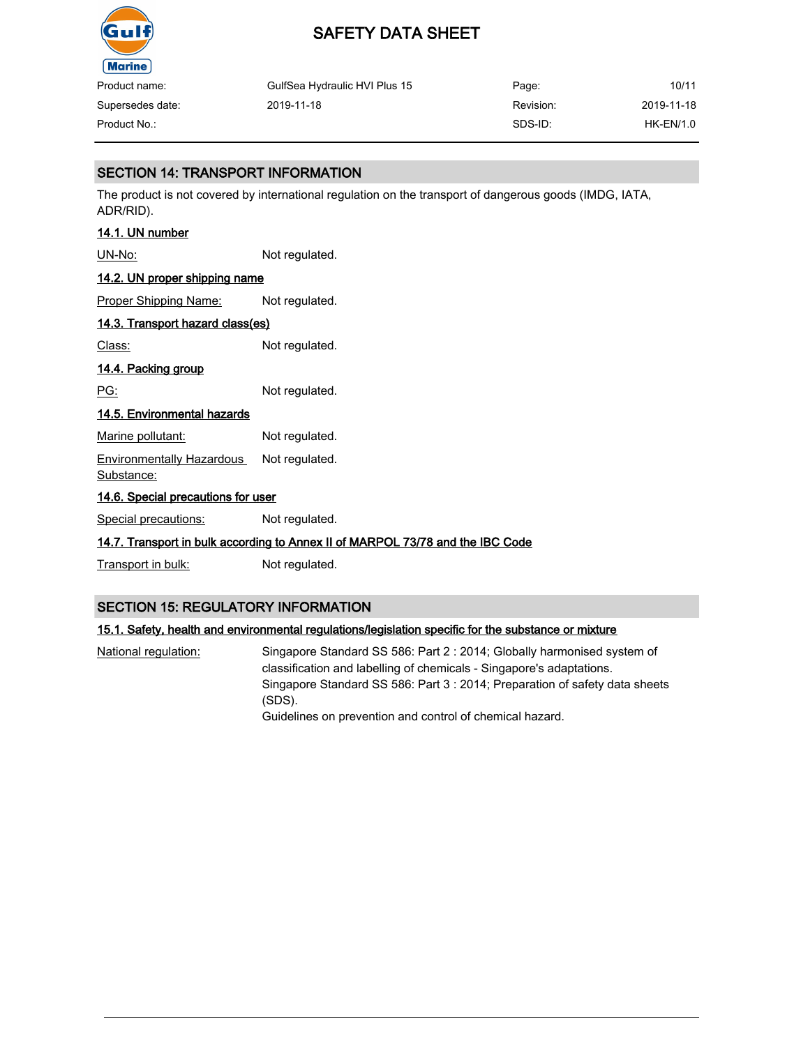

| Product name:    | GulfSea Hydraulic HVI Plus 15 | Page:     | 10/11      |
|------------------|-------------------------------|-----------|------------|
| Supersedes date: | 2019-11-18                    | Revision: | 2019-11-18 |
| Product No.:     |                               | SDS-ID:   | HK-EN/1.0  |

# SECTION 14: TRANSPORT INFORMATION

The product is not covered by international regulation on the transport of dangerous goods (IMDG, IATA, ADR/RID).

# 14.1. UN number

UN-No: Not regulated.

# 14.2. UN proper shipping name

Proper Shipping Name: Not regulated.

# 14.3. Transport hazard class(es)

Class: Not regulated.

## 14.4. Packing group

PG: Not regulated.

## 14.5. Environmental hazards

Marine pollutant: Not regulated.

Environmentally Hazardous Substance: Not regulated.

# 14.6. Special precautions for user

Special precautions: Not regulated.

## 14.7. Transport in bulk according to Annex II of MARPOL 73/78 and the IBC Code

Transport in bulk: Not regulated.

## SECTION 15: REGULATORY INFORMATION

## 15.1. Safety, health and environmental regulations/legislation specific for the substance or mixture

National regulation: Singapore Standard SS 586: Part 2 : 2014; Globally harmonised system of classification and labelling of chemicals - Singapore's adaptations. Singapore Standard SS 586: Part 3 : 2014; Preparation of safety data sheets (SDS). Guidelines on prevention and control of chemical hazard.